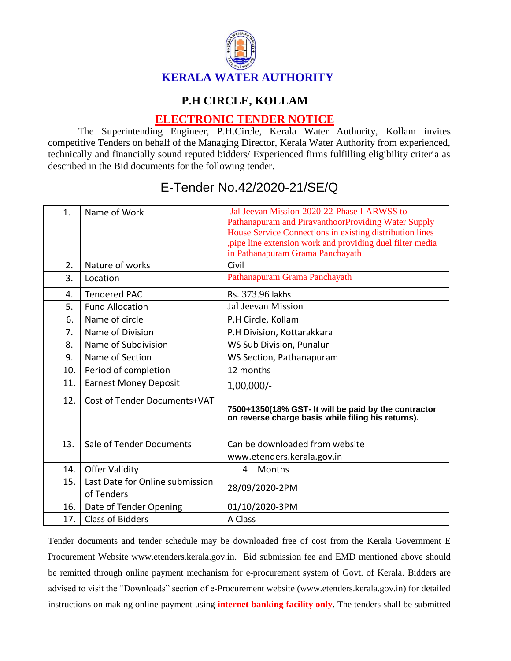

## **P.H CIRCLE, KOLLAM**

## **ELECTRONIC TENDER NOTICE**

The Superintending Engineer, P.H.Circle, Kerala Water Authority, Kollam invites competitive Tenders on behalf of the Managing Director, Kerala Water Authority from experienced, technically and financially sound reputed bidders/ Experienced firms fulfilling eligibility criteria as described in the Bid documents for the following tender.

| $\mathbf{1}$ . | Name of Work                                  | Jal Jeevan Mission-2020-22-Phase I-ARWSS to<br>Pathanapuram and PiravanthoorProviding Water Supply<br>House Service Connections in existing distribution lines<br>, pipe line extension work and providing duel filter media<br>in Pathanapuram Grama Panchayath |
|----------------|-----------------------------------------------|------------------------------------------------------------------------------------------------------------------------------------------------------------------------------------------------------------------------------------------------------------------|
| 2.             | Nature of works                               | Civil                                                                                                                                                                                                                                                            |
| 3.             | Location                                      | Pathanapuram Grama Panchayath                                                                                                                                                                                                                                    |
| 4.             | <b>Tendered PAC</b>                           | Rs. 373.96 lakhs                                                                                                                                                                                                                                                 |
| 5.             | <b>Fund Allocation</b>                        | <b>Jal Jeevan Mission</b>                                                                                                                                                                                                                                        |
| 6.             | Name of circle                                | P.H Circle, Kollam                                                                                                                                                                                                                                               |
| 7.             | Name of Division                              | P.H Division, Kottarakkara                                                                                                                                                                                                                                       |
| 8.             | Name of Subdivision                           | WS Sub Division, Punalur                                                                                                                                                                                                                                         |
| 9.             | Name of Section                               | WS Section, Pathanapuram                                                                                                                                                                                                                                         |
| 10.            | Period of completion                          | 12 months                                                                                                                                                                                                                                                        |
| 11.            | <b>Earnest Money Deposit</b>                  | $1,00,000/-$                                                                                                                                                                                                                                                     |
| 12.            | Cost of Tender Documents+VAT                  | 7500+1350(18% GST- It will be paid by the contractor<br>on reverse charge basis while filing his returns).                                                                                                                                                       |
| 13.            | Sale of Tender Documents                      | Can be downloaded from website<br>www.etenders.kerala.gov.in                                                                                                                                                                                                     |
| 14.            | <b>Offer Validity</b>                         | Months<br>4                                                                                                                                                                                                                                                      |
| 15.            | Last Date for Online submission<br>of Tenders | 28/09/2020-2PM                                                                                                                                                                                                                                                   |
| 16.            | Date of Tender Opening                        | 01/10/2020-3PM                                                                                                                                                                                                                                                   |
| 17.            | <b>Class of Bidders</b>                       | A Class                                                                                                                                                                                                                                                          |

## E-Tender No.42/2020-21/SE/Q

Tender documents and tender schedule may be downloaded free of cost from the Kerala Government E Procurement Website www.etenders.kerala.gov.in. Bid submission fee and EMD mentioned above should be remitted through online payment mechanism for e-procurement system of Govt. of Kerala. Bidders are advised to visit the "Downloads" section of e-Procurement website (www.etenders.kerala.gov.in) for detailed instructions on making online payment using **internet banking facility only**. The tenders shall be submitted